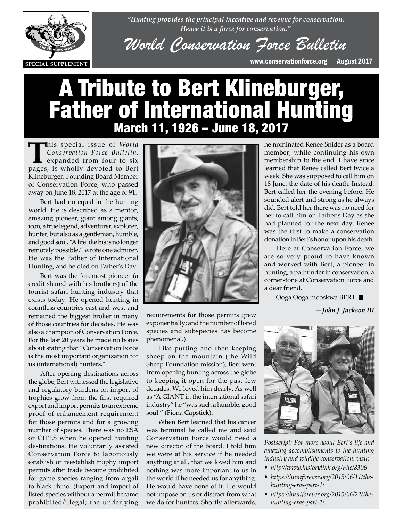

*"Hunting provides the principal incentive and revenue for conservation. Hence it is a force for conservation."*

*World Conservation Force Bulletin*

**SPECIAL SUPPLEMENT** www.conservationforce.org August 2017

# A Tribute to Bert Klineburger, Father of International Hunting March 11, 1926 – June 18, 2017

**T**his special issue of *World Conservation Force Bulletin*, expanded from four to six pages, is wholly devoted to Bert Klineburger, Founding Board Member of Conservation Force, who passed away on June 18, 2017 at the age of 91.

Bert had no equal in the hunting world. He is described as a mentor, amazing pioneer, giant among giants, icon, a true legend, adventurer, explorer, hunter, but also as a gentleman, humble, and good soul. "A life like his is no longer remotely possible," wrote one admirer. He was the Father of International Hunting, and he died on Father's Day.

Bert was the foremost pioneer (a credit shared with his brothers) of the tourist safari hunting industry that exists today. He opened hunting in countless countries east and west and remained the biggest broker in many of those countries for decades. He was also a champion of Conservation Force. For the last 20 years he made no bones about stating that "Conservation Force is the most important organization for us (international) hunters."

After opening destinations across the globe, Bert witnessed the legislative and regulatory burdens on import of trophies grow from the first required export and import permits to an extreme proof of enhancement requirement for those permits and for a growing number of species. There was no ESA or CITES when he opened hunting destinations. He voluntarily assisted Conservation Force to laboriously establish or reestablish trophy import permits after trade became prohibited for game species ranging from argali to black rhino. (Export and import of listed species without a permit became prohibited/illegal; the underlying



requirements for those permits grew exponentially; and the number of listed species and subspecies has become phenomenal.)

Like putting and then keeping sheep on the mountain (the Wild Sheep Foundation mission), Bert went from opening hunting across the globe to keeping it open for the past few decades. We loved him dearly. As well as "A GIANT in the international safari industry" he "was such a humble, good soul." (Fiona Capstick).

When Bert learned that his cancer was terminal he called me and said Conservation Force would need a new director of the board. I told him we were at his service if he needed anything at all, that we loved him and nothing was more important to us in the world if he needed us for anything. He would have none of it. He would not impose on us or distract from what we do for hunters. Shortly afterwards,

he nominated Renee Snider as a board member, while continuing his own membership to the end. I have since learned that Renee called Bert twice a week. She was supposed to call him on 18 June, the date of his death. Instead, Bert called her the evening before. He sounded alert and strong as he always did. Bert told her there was no need for her to call him on Father's Day as she had planned for the next day. Renee was the first to make a conservation donation in Bert's honor upon his death.

Here at Conservation Force, we are so very proud to have known and worked with Bert, a pioneer in hunting, a pathfinder in conservation, a cornerstone at Conservation Force and a dear friend.

Ooga Ooga mooskwa BERT.

*—John J. Jackson III*



*Postscript: For more about Bert's life and amazing accomplishments to the hunting industry and wildlife conservation, visit:* 

- *• http://www.historylink.org/File/8306*
- *• https://huntforever.org/2015/06/11/thehunting-eras-part-1/*
- *• https://huntforever.org/2015/06/22/thehunting-eras-part-2/*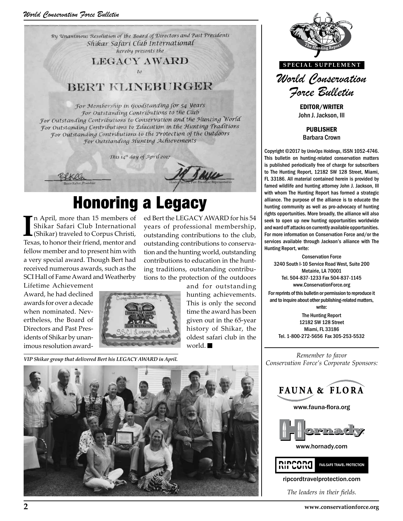*World Conservation Force Bulletin*

By Unanimous Resolution of the Board of Directors and Past Presidents Shikar Safari Club International hereby presents the

> **LEGACY AWARD**  $\ddot{t}$

**BERT KLINEBURGER** 

For Membership in Goodstanding for 54 Years For Outstanding Contributions to the Club For Outstanding Contributions to Conservation and the Hunting World For Outstanding Contributions to Education in the Hunting Traditions For Outstanding Contributions to the Protection of the Outdoors For Outstanding Hunting Achievements

This 14<sup>th</sup> day of April 2017

![](_page_1_Picture_6.jpeg)

## Honoring a Legacy

In April, more than 15 members of Shikar Safari Club International (Shikar) traveled to Corpus Christi, Texas, to honor their friend, mentor and n April, more than 15 members of Shikar Safari Club International (Shikar) traveled to Corpus Christi, fellow member and to present him with a very special award. Though Bert had received numerous awards, such as the SCI Hall of Fame Award and Weatherby

Lifetime Achievement Award, he had declined awards for over a decade when nominated. Nevertheless, the Board of Directors and Past Presidents of Shikar by unanimous resolution award-

![](_page_1_Picture_10.jpeg)

*VIP Shikar group that delivered Bert his LEGACY AWARD in April.*

ed Bert the LEGACY AWARD for his 54 years of professional membership, outstanding contributions to the club, outstanding contributions to conservation and the hunting world, outstanding contributions to education in the hunting traditions, outstanding contributions to the protection of the outdoors

> and for outstanding hunting achievements. This is only the second time the award has been given out in the 65-year history of Shikar, the oldest safari club in the world.

![](_page_1_Picture_14.jpeg)

![](_page_1_Picture_15.jpeg)

*World Conservation Force Bulletin*

> EDITOR/WRITER John J. Jackson, III

PUBLISHER Barbara Crown

Copyright ©2017 by UnivOps Holdings, ISSN 1052-4746. This bulletin on hunting-related conservation matters is published periodically free of charge for subscribers to The Hunting Report, 12182 SW 128 Street, Miami, FL 33186. All material contained herein is provided by famed wildlife and hunting attorney John J. Jackson, III with whom The Hunting Report has formed a strategic alliance. The purpose of the alliance is to educate the hunting community as well as pro-advocacy of hunting rights opportunities. More broadly, the alliance will also seek to open up new hunting opportunities worldwide and ward off attacks on currently available opportunities. For more information on Conservation Force and/or the services available through Jackson's alliance with The Hunting Report, write:

Conservation Force 3240 South I-10 Service Road West, Suite 200 Metairie, LA 70001 Tel. 504-837-1233 Fax 504-837-1145 www.ConservationForce.org

For reprints of this bulletin or permission to reproduce it and to inquire about other publishing-related matters, write:

The Hunting Report 12182 SW 128 Street Miami, FL 33186 Tel. 1-800-272-5656 Fax 305-253-5532

*Remember to favor Conservation Force's Corporate Sponsors:*

![](_page_1_Picture_24.jpeg)

www.fauna-flora.org

![](_page_1_Picture_26.jpeg)

www.hornady.com

![](_page_1_Picture_28.jpeg)

ripcordtravelprotection.com

*The leaders in their fields.*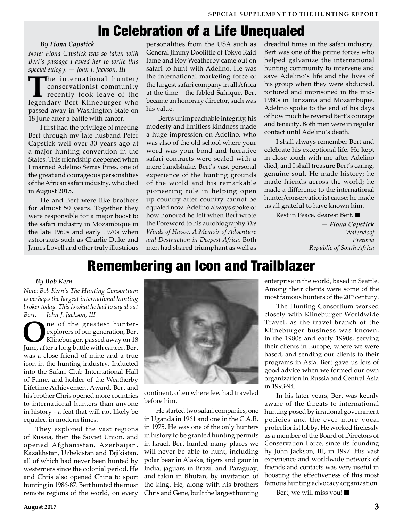### In Celebration of a Life Unequaled

### *By Fiona Capstick*

*Note: Fiona Capstick was so taken with Bert's passage I asked her to write this special eulogy. — John J. Jackson, III*

**T**he international hunter/ conservationist community recently took leave of the legendary Bert Klineburger who passed away in Washington State on 18 June after a battle with cancer.

I first had the privilege of meeting Bert through my late husband Peter Capstick well over 30 years ago at a major hunting convention in the States. This friendship deepened when I married Adelino Serras Pires, one of the great and courageous personalities of the African safari industry, who died in August 2015.

He and Bert were like brothers for almost 50 years. Together they were responsible for a major boost to the safari industry in Mozambique in the late 1960s and early 1970s when astronauts such as Charlie Duke and James Lovell and other truly illustrious personalities from the USA such as General Jimmy Doolittle of Tokyo Raid fame and Roy Weatherby came out on safari to hunt with Adelino. He was the international marketing force of the largest safari company in all Africa at the time – the fabled Safrique. Bert became an honorary director, such was his value.

Bert's unimpeachable integrity, his modesty and limitless kindness made a huge impression on Adelino, who was also of the old school where your word was your bond and lucrative safari contracts were sealed with a mere handshake. Bert's vast personal experience of the hunting grounds of the world and his remarkable pioneering role in helping open up country after country cannot be equaled now. Adelino always spoke of how honored he felt when Bert wrote the Foreword to his autobiography *The Winds of Havoc: A Memoir of Adventure and Destruction in Deepest Africa*. Both men had shared triumphant as well as

dreadful times in the safari industry. Bert was one of the prime forces who helped galvanize the international hunting community to intervene and save Adelino's life and the lives of his group when they were abducted, tortured and imprisoned in the mid-1980s in Tanzania and Mozambique. Adelino spoke to the end of his days of how much he revered Bert's courage and tenacity. Both men were in regular contact until Adelino's death.

I shall always remember Bert and celebrate his exceptional life. He kept in close touch with me after Adelino died, and I shall treasure Bert's caring, genuine soul. He made history; he made friends across the world; he made a difference to the international hunter/conservationist cause; he made us all grateful to have known him.

Rest in Peace, dearest Bert.

*— Fiona Capstick Waterkloof Pretoria Republic of South Africa*

### Remembering an Icon and Trailblazer

#### *By Bob Kern*

*Note: Bob Kern's The Hunting Consortium is perhaps the largest international hunting broker today. This is what he had to say about Bert. — John J. Jackson, III*

**O**ne of the greatest hunter-<br>explorers of our generation, Bert<br>Klineburger, passed away on 18<br>lune after a long battle with cancer. Bert explorers of our generation, Bert Klineburger, passed away on 18 June, after a long battle with cancer. Bert was a close friend of mine and a true icon in the hunting industry. Inducted into the Safari Club International Hall of Fame, and holder of the Weatherby Lifetime Achievement Award, Bert and his brother Chris opened more countries to international hunters than anyone in history - a feat that will not likely be equaled in modern times.

They explored the vast regions of Russia, then the Soviet Union, and opened Afghanistan, Azerbaijan, Kazakhstan, Uzbekistan and Tajikistan, all of which had never been hunted by westerners since the colonial period. He and Chris also opened China to sport hunting in 1986-87. Bert hunted the most remote regions of the world, on every

![](_page_2_Picture_18.jpeg)

continent, often where few had traveled before him.

He started two safari companies, one in Uganda in 1961 and one in the C.A.R. in 1975. He was one of the only hunters in history to be granted hunting permits in Israel. Bert hunted many places we will never be able to hunt, including polar bear in Alaska, tigers and gaur in India, jaguars in Brazil and Paraguay, and takin in Bhutan, by invitation of the king. He, along with his brothers Chris and Gene, built the largest hunting enterprise in the world, based in Seattle. Among their clients were some of the most famous hunters of the 20<sup>th</sup> century.

The Hunting Consortium worked closely with Klineburger Worldwide Travel, as the travel branch of the Klineburger business was known, in the 1980s and early 1990s, serving their clients in Europe, where we were based, and sending our clients to their programs in Asia. Bert gave us lots of good advice when we formed our own organization in Russia and Central Asia in 1993-94.

In his later years, Bert was keenly aware of the threats to international hunting posed by irrational government policies and the ever more vocal protectionist lobby. He worked tirelessly as a member of the Board of Directors of Conservation Force, since its founding by John Jackson, III, in 1997. His vast experience and worldwide network of friends and contacts was very useful in boosting the effectiveness of this most famous hunting advocacy organization.

Bert, we will miss you!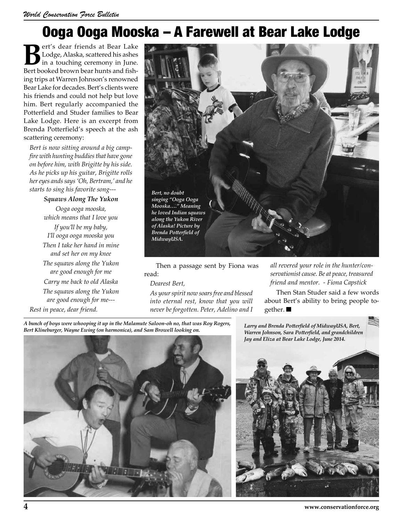## Ooga Ooga Mooska – A Farewell at Bear Lake Lodge

ert's dear friends at Bear Lake Lodge, Alaska, scattered his ashes in a touching ceremony in June. Bert booked brown bear hunts and fishing trips at Warren Johnson's renowned Bear Lake for decades. Bert's clients were his friends and could not help but love him. Bert regularly accompanied the Potterfield and Studer families to Bear Lake Lodge. Here is an excerpt from Brenda Potterfield's speech at the ash scattering ceremony:

*Bert is now sitting around a big campfire with hunting buddies that have gone on before him, with Brigitte by his side. As he picks up his guitar, Brigitte rolls her eyes ands says 'Oh, Bertram,' and he starts to sing his favorite song---*

#### *Squaws Along The Yukon*

*Ooga ooga mooska, which means that I love you If you'll be my baby, I'll ooga ooga mooska you Then I take her hand in mine and set her on my knee The squaws along the Yukon are good enough for me Carry me back to old Alaska The squaws along the Yukon are good enough for me--- Rest in peace, dear friend.*

![](_page_3_Picture_6.jpeg)

Then a passage sent by Fiona was read:

*Dearest Bert,* 

*As your spirit now soars free and blessed into eternal rest, know that you will never be forgotten. Peter, Adelino and I* 

*all revered your role in the hunter/conservationist cause. Be at peace, treasured friend and mentor. - Fiona Capstick* 

Then Stan Studer said a few words about Bert's ability to bring people together.

*A bunch of boys were whooping it up in the Malamute Saloon-oh no, that was Roy Rogers, Bert Klineburger, Wayne Ewing (on harmonica), and Sam Browell looking on.*

*Larry and Brenda Potterfield of MidwayUSA, Bert, Warren Johnson, Sara Potterfield, and grandchildren Jay and Eliza at Bear Lake Lodge, June 2014.*

![](_page_3_Picture_14.jpeg)

**www.conservationforce.org**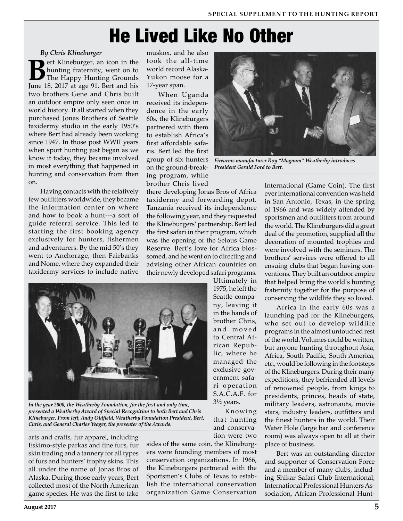# He Lived Like No Other

#### *By Chris Klineburger*

**B**ert Klineburger, an icon in the<br>The Happy Hunting Grounds<br>Iupe 18, 2017 at 200.91, Bort and his hunting fraternity, went on to June 18, 2017 at age 91. Bert and his two brothers Gene and Chris built an outdoor empire only seen once in world history. It all started when they purchased Jonas Brothers of Seattle taxidermy studio in the early 1950's where Bert had already been working since 1947. In those post WWII years when sport hunting just began as we know it today, they became involved in most everything that happened in hunting and conservation from then on.

Having contacts with the relatively few outfitters worldwide, they became the information center on where and how to book a hunt---a sort of guide referral service. This led to starting the first booking agency exclusively for hunters, fishermen and adventurers. By the mid 50's they went to Anchorage, then Fairbanks and Nome, where they expanded their taxidermy services to include native

muskox, and he also took the all-time world record Alaska-Yukon moose for a 17-year span.

When Uganda received its independence in the early 60s, the Klineburgers partnered with them to establish Africa's first affordable safaris. Bert led the first group of six hunters on the ground-breaking program, while brother Chris lived

![](_page_4_Picture_7.jpeg)

1975, he left the Seattle company, leaving it in the hands of brother Chris, and moved to Central African Republic, where he managed the exclusive government safari operation S.A.C.A.F. for 3½ years.

Knowing that hunting and conservation were two

![](_page_4_Picture_8.jpeg)

*In the year 2000, the Weatherby Foundation, for the first and only time, presented a Weatherby Award of Special Recognition to both Bert and Chris Klineburger. From left, Andy Oldfield, Weatherby Foundation President, Bert, Chris, and General Charles Yeager, the presenter of the Awards.*

arts and crafts, fur apparel, including Eskimo-style parkas and fine furs, fur skin trading and a tannery for all types of furs and hunters' trophy skins. This all under the name of Jonas Bros of Alaska. During those early years, Bert collected most of the North American game species. He was the first to take

sides of the same coin, the Klineburgers were founding members of most conservation organizations. In 1966, the Klineburgers partnered with the Sportsmen's Clubs of Texas to establish the international conservation organization Game Conservation

![](_page_4_Picture_12.jpeg)

of 1966 and was widely attended by sportsmen and outfitters from around the world. The Klineburgers did a great deal of the promotion, supplied all the decoration of mounted trophies and were involved with the seminars. The brothers' services were offered to all ensuing clubs that began having conventions. They built an outdoor empire that helped bring the world's hunting fraternity together for the purpose of conserving the wildlife they so loved.

Africa in the early 60s was a launching pad for the Klineburgers, who set out to develop wildlife programs in the almost untouched rest of the world. Volumes could be written, but anyone hunting throughout Asia, Africa, South Pacific, South America, etc., would be following in the footsteps of the Klineburgers. During their many expeditions, they befriended all levels of renowned people, from kings to presidents, princes, heads of state, military leaders, astronauts, movie stars, industry leaders, outfitters and the finest hunters in the world. Their Water Hole (large bar and conference room) was always open to all at their place of business.

Bert was an outstanding director and supporter of Conservation Force and a member of many clubs, including Shikar Safari Club International, International Professional Hunters Association, African Professional Hunt-